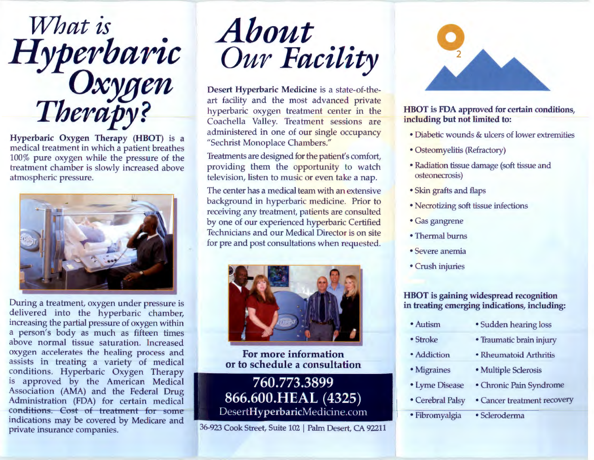

Hyperbaric Oxygen Therapy (HBOT) is a medical treatment in which a patient breathes 100% pure oxygen while the press ure of the treatment chamber is slowly increased above atmospheric pressure.



During a treatment, oxygen under pressure is delivered into the hyperbaric chamber, increasing the partial pressure of oxyg en within a person's body as much as fifte en times above normal tissue saturation. Increased oxygen accelerates the healing pr ocess and assists in treating a variety of medical conditions. Hyperbaric Oxygen Therapy is approved by the American Medical Association (AMA) and the Federal Drug Administration (FDA) for certain medical conditions. Cost of treatment-for- some indications may be covered by Medicare and private insurance companies.



Desert Hyperbaric Medicine is a st ate-of-theart facility and the most advanced private hyperbaric oxygen treatment center in the Coachella Valley. Treatment sessions are administered in one of our single occupancy "Sechrist Monoplace Chambers."

Treatments are designed for the patient's comfort, providing them the opportunity to watch television, listen to music or even take a nap.

The center has a medical team with an extensive background in hyperbaric medicine. Prior to receiving any treatment, patients are consulted by one of our experienced hyperbaric Certified Technicians and our Medical Director is on site for pre and post consultations when requested.



For more in formation or to schedule a consultation

760.773.3899 866.600.HEAL (4325) DesertHyperbaricMedicine.com

36-923 Cook Street, Suite 102 I Palm Desert, CA 92211



## HBOT is FDA approved for certain conditions, including but not limited to:

- Diabetic wounds & ulcers of lower extremities
- Osteomyelitis (Refractory)
- Radiation tissue damage (soft tissue and osteonecrosis)
- Skin grafts and flaps
- Necrotizing soft tissue infections
- Gas gangrene
- Thermal burns
- Severe anemia
- Crush injuries

## HBOT is gaining widespread recognition in treating emerging indications, including:

| • Autism         | · Sudden hearing loss       |
|------------------|-----------------------------|
| $•$ Stroke       | • Traumatic brain injury    |
| • Addiction      | • Rheumatoid Arthritis      |
| • Migraines      | · Multiple Sclerosis        |
| • Lyme Disease   | • Chronic Pain Syndrome     |
| • Cerebral Palsy | • Cancer treatment recovery |
| · Fibromyalgia   | · Scleroderma               |